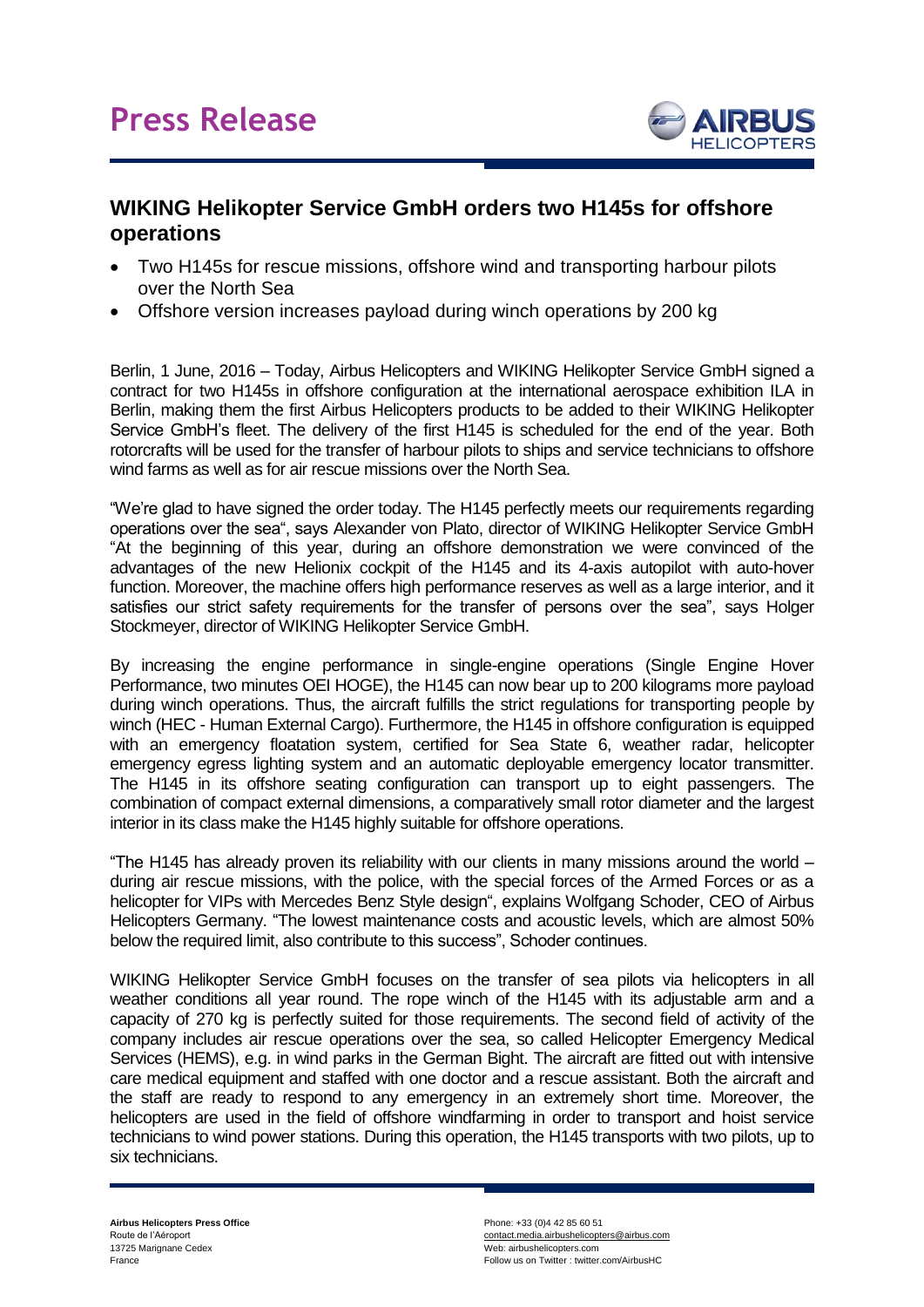

## **WIKING Helikopter Service GmbH orders two H145s for offshore operations**

- Two H145s for rescue missions, offshore wind and transporting harbour pilots over the North Sea
- Offshore version increases payload during winch operations by 200 kg

Berlin, 1 June, 2016 – Today, Airbus Helicopters and WIKING Helikopter Service GmbH signed a contract for two H145s in offshore configuration at the international aerospace exhibition ILA in Berlin, making them the first Airbus Helicopters products to be added to their WIKING Helikopter Service GmbH's fleet. The delivery of the first H145 is scheduled for the end of the year. Both rotorcrafts will be used for the transfer of harbour pilots to ships and service technicians to offshore wind farms as well as for air rescue missions over the North Sea.

"We're glad to have signed the order today. The H145 perfectly meets our requirements regarding operations over the sea", says Alexander von Plato, director of WIKING Helikopter Service GmbH "At the beginning of this year, during an offshore demonstration we were convinced of the advantages of the new Helionix cockpit of the H145 and its 4-axis autopilot with auto-hover function. Moreover, the machine offers high performance reserves as well as a large interior, and it satisfies our strict safety requirements for the transfer of persons over the sea", says Holger Stockmeyer, director of WIKING Helikopter Service GmbH.

By increasing the engine performance in single-engine operations (Single Engine Hover Performance, two minutes OEI HOGE), the H145 can now bear up to 200 kilograms more payload during winch operations. Thus, the aircraft fulfills the strict regulations for transporting people by winch (HEC - Human External Cargo). Furthermore, the H145 in offshore configuration is equipped with an emergency floatation system, certified for Sea State 6, weather radar, helicopter emergency egress lighting system and an automatic deployable emergency locator transmitter. The H145 in its offshore seating configuration can transport up to eight passengers. The combination of compact external dimensions, a comparatively small rotor diameter and the largest interior in its class make the H145 highly suitable for offshore operations.

"The H145 has already proven its reliability with our clients in many missions around the world – during air rescue missions, with the police, with the special forces of the Armed Forces or as a helicopter for VIPs with Mercedes Benz Style design", explains Wolfgang Schoder, CEO of Airbus Helicopters Germany. "The lowest maintenance costs and acoustic levels, which are almost 50% below the required limit, also contribute to this success", Schoder continues.

WIKING Helikopter Service GmbH focuses on the transfer of sea pilots via helicopters in all weather conditions all year round. The rope winch of the H145 with its adjustable arm and a capacity of 270 kg is perfectly suited for those requirements. The second field of activity of the company includes air rescue operations over the sea, so called Helicopter Emergency Medical Services (HEMS), e.g. in wind parks in the German Bight. The aircraft are fitted out with intensive care medical equipment and staffed with one doctor and a rescue assistant. Both the aircraft and the staff are ready to respond to any emergency in an extremely short time. Moreover, the helicopters are used in the field of offshore windfarming in order to transport and hoist service technicians to wind power stations. During this operation, the H145 transports with two pilots, up to six technicians.